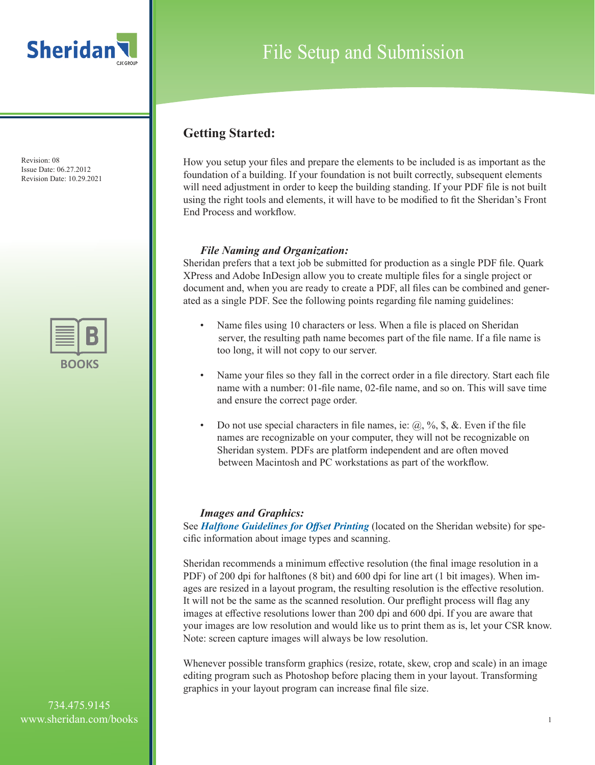



# File Setup and Submission

### **Getting Started:**

How you setup your files and prepare the elements to be included is as important as the foundation of a building. If your foundation is not built correctly, subsequent elements will need adjustment in order to keep the building standing. If your PDF file is not built using the right tools and elements, it will have to be modified to fit the Sheridan's Front End Process and workflow.

### *File Naming and Organization:*

Sheridan prefers that a text job be submitted for production as a single PDF file. Quark XPress and Adobe InDesign allow you to create multiple files for a single project or document and, when you are ready to create a PDF, all files can be combined and generated as a single PDF. See the following points regarding file naming guidelines:

- Name files using 10 characters or less. When a file is placed on Sheridan server, the resulting path name becomes part of the file name. If a file name is too long, it will not copy to our server.
- Name your files so they fall in the correct order in a file directory. Start each file name with a number: 01-file name, 02-file name, and so on. This will save time and ensure the correct page order.
- Do not use special characters in file names, ie:  $(a, \mathcal{V}_0, \mathcal{S}, \&$ . Even if the file names are recognizable on your computer, they will not be recognizable on Sheridan system. PDFs are platform independent and are often moved between Macintosh and PC workstations as part of the workflow.

### *Images and Graphics:*

See *Halftone Guidelines for Offset Printing* (located on the Sheridan website) for specific information about image types and scanning.

Sheridan recommends a minimum effective resolution (the final image resolution in a PDF) of 200 dpi for halftones (8 bit) and 600 dpi for line art (1 bit images). When images are resized in a layout program, the resulting resolution is the effective resolution. It will not be the same as the scanned resolution. Our preflight process will flag any images at effective resolutions lower than 200 dpi and 600 dpi. If you are aware that your images are low resolution and would like us to print them as is, let your CSR know. Note: screen capture images will always be low resolution.

Whenever possible transform graphics (resize, rotate, skew, crop and scale) in an image editing program such as Photoshop before placing them in your layout. Transforming graphics in your layout program can increase final file size.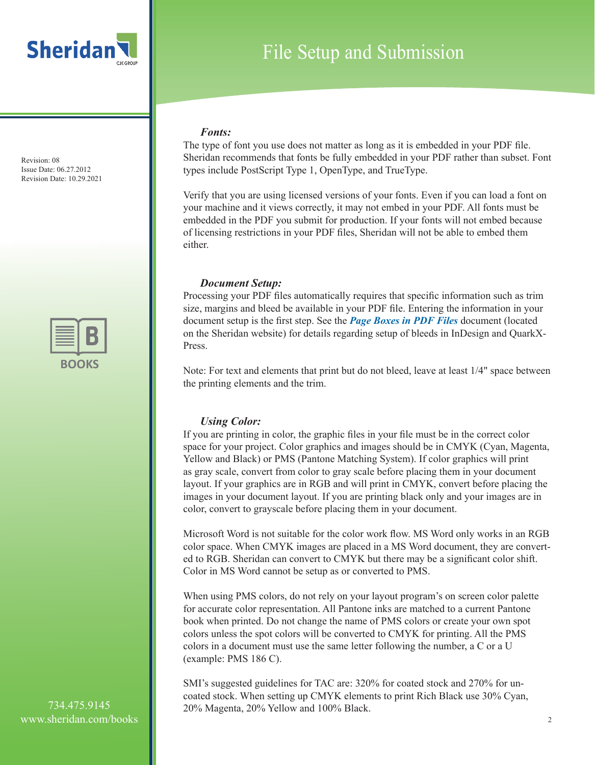



# File Setup and Submission

#### *Fonts:*

The type of font you use does not matter as long as it is embedded in your PDF file. Sheridan recommends that fonts be fully embedded in your PDF rather than subset. Font types include PostScript Type 1, OpenType, and TrueType.

Verify that you are using licensed versions of your fonts. Even if you can load a font on your machine and it views correctly, it may not embed in your PDF. All fonts must be embedded in the PDF you submit for production. If your fonts will not embed because of licensing restrictions in your PDF files, Sheridan will not be able to embed them either.

#### *Document Setup:*

Processing your PDF files automatically requires that specific information such as trim size, margins and bleed be available in your PDF file. Entering the information in your document setup is the first step. See the *Page Boxes in PDF Files* document (located on the Sheridan website) for details regarding setup of bleeds in InDesign and QuarkX-Press.

Note: For text and elements that print but do not bleed, leave at least 1/4" space between the printing elements and the trim.

### *Using Color:*

If you are printing in color, the graphic files in your file must be in the correct color space for your project. Color graphics and images should be in CMYK (Cyan, Magenta, Yellow and Black) or PMS (Pantone Matching System). If color graphics will print as gray scale, convert from color to gray scale before placing them in your document layout. If your graphics are in RGB and will print in CMYK, convert before placing the images in your document layout. If you are printing black only and your images are in color, convert to grayscale before placing them in your document.

Microsoft Word is not suitable for the color work flow. MS Word only works in an RGB color space. When CMYK images are placed in a MS Word document, they are converted to RGB. Sheridan can convert to CMYK but there may be a significant color shift. Color in MS Word cannot be setup as or converted to PMS.

When using PMS colors, do not rely on your layout program's on screen color palette for accurate color representation. All Pantone inks are matched to a current Pantone book when printed. Do not change the name of PMS colors or create your own spot colors unless the spot colors will be converted to CMYK for printing. All the PMS colors in a document must use the same letter following the number, a C or a U (example: PMS 186 C).

SMI's suggested guidelines for TAC are: 320% for coated stock and 270% for uncoated stock. When setting up CMYK elements to print Rich Black use 30% Cyan, 20% Magenta, 20% Yellow and 100% Black.

734.475.9145 www.sheridan.com/books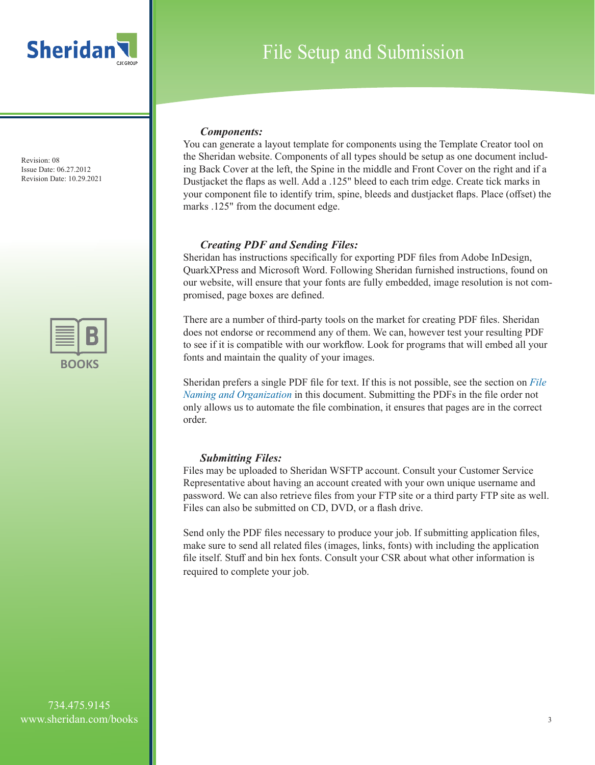



# File Setup and Submission

#### *Components:*

You can generate a layout template for components using the Template Creator tool on the Sheridan website. Components of all types should be setup as one document including Back Cover at the left, the Spine in the middle and Front Cover on the right and if a Dustjacket the flaps as well. Add a .125" bleed to each trim edge. Create tick marks in your component file to identify trim, spine, bleeds and dustjacket flaps. Place (offset) the marks .125" from the document edge.

#### *Creating PDF and Sending Files:*

Sheridan has instructions specifically for exporting PDF files from Adobe InDesign, QuarkXPress and Microsoft Word. Following Sheridan furnished instructions, found on our website, will ensure that your fonts are fully embedded, image resolution is not compromised, page boxes are defined.

There are a number of third-party tools on the market for creating PDF files. Sheridan does not endorse or recommend any of them. We can, however test your resulting PDF to see if it is compatible with our workflow. Look for programs that will embed all your fonts and maintain the quality of your images.

Sheridan prefers a single PDF file for text. If this is not possible, see the section on *File Naming and Organization* in this document. Submitting the PDFs in the file order not only allows us to automate the file combination, it ensures that pages are in the correct order.

#### *Submitting Files:*

Files may be uploaded to Sheridan WSFTP account. Consult your Customer Service Representative about having an account created with your own unique username and password. We can also retrieve files from your FTP site or a third party FTP site as well. Files can also be submitted on CD, DVD, or a flash drive.

Send only the PDF files necessary to produce your job. If submitting application files, make sure to send all related files (images, links, fonts) with including the application file itself. Stuff and bin hex fonts. Consult your CSR about what other information is required to complete your job.